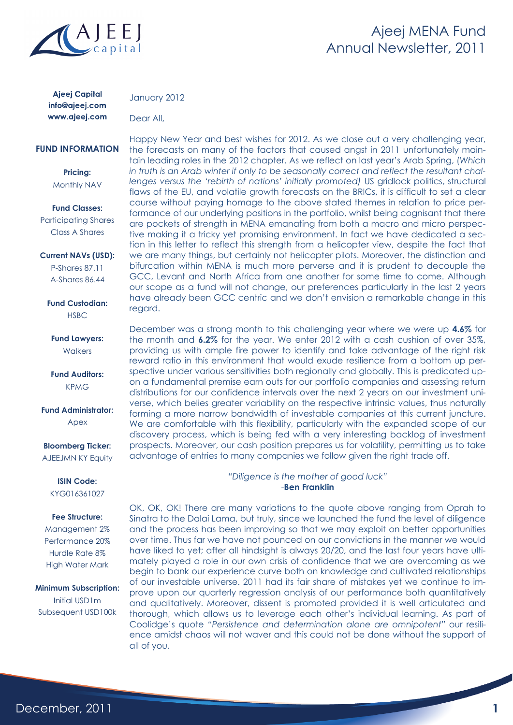

**Ajeej Capital** info@ajeej.com www.ajeej.com

January 2012

Dear All,

### **FUND INFORMATION**

**Pricing:** Monthly NAV

**Fund Classes:** Participating Shares Class A Shares

**Current NAVs (USD):** P-Shares 87.11 A-Shares 86.44

**Fund Custodian: HSBC** 

**Fund Lawyers: Walkers** 

**Fund Auditors:** KPMG

**Fund Administrator:** Apex

**Bloomberg Ticker:** AJEEJMN KY Equity

> **ISIN Code:** KYG016361027

#### **Fee Structure:**

Management 2% Performance 20% Hurdle Rate 8% High Water Mark

**Minimum Subscription:** Initial USD1m Subsequent USD100k

Happy New Year and best wishes for 2012. As we close out a very challenging year, the forecasts on many of the factors that caused angst in 2011 unfortunately maintain leading roles in the 2012 chapter. As we reflect on last year's Arab Spring, (*Which in truth is an Arab winter if only to be seasonally correct and reflect the resultant challenges versus the 'rebirth of nations' initially promoted)* US gridlock politics, structural flaws of the EU, and volatile growth forecasts on the BRICs, it is difficult to set a clear course without paying homage to the above stated themes in relation to price performance of our underlying positions in the portfolio, whilst being cognisant that there are pockets of strength in MENA emanating from both a macro and micro perspective making it a tricky yet promising environment. In fact we have dedicated a section in this letter to reflect this strength from a helicopter view, despite the fact that we are many things, but certainly not helicopter pilots. Moreover, the distinction and bifurcation within MENA is much more perverse and it is prudent to decouple the GCC, Levant and North Africa from one another for some time to come. Although our scope as a fund will not change, our preferences particularly in the last 2 years have already been GCC centric and we don't envision a remarkable change in this regard.

December was a strong month to this challenging year where we were up **4.6%** for the month and **6.2%** for the year. We enter 2012 with a cash cushion of over 35%, providing us with ample fire power to identify and take advantage of the right risk reward ratio in this environment that would exude resilience from a bottom up perspective under various sensitivities both regionally and globally. This is predicated upon a fundamental premise earn outs for our portfolio companies and assessing return distributions for our confidence intervals over the next 2 years on our investment universe, which belies greater variability on the respective intrinsic values, thus naturally forming a more narrow bandwidth of investable companies at this current juncture. We are comfortable with this flexibility, particularly with the expanded scope of our discovery process, which is being fed with a very interesting backlog of investment prospects. Moreover, our cash position prepares us for volatility, permitting us to take advantage of entries to many companies we follow given the right trade off.

> *"Diligence is the mother of good luck"* -**Ben Franklin**

OK, OK, OK! There are many variations to the quote above ranging from Oprah to Sinatra to the Dalai Lama, but truly, since we launched the fund the level of diligence and the process has been improving so that we may exploit on better opportunities over time. Thus far we have not pounced on our convictions in the manner we would have liked to yet; after all hindsight is always 20/20, and the last four years have ultimately played a role in our own crisis of confidence that we are overcoming as we begin to bank our experience curve both on knowledge and cultivated relationships of our investable universe. 2011 had its fair share of mistakes yet we continue to improve upon our quarterly regression analysis of our performance both quantitatively and qualitatively. Moreover, dissent is promoted provided it is well articulated and thorough, which allows us to leverage each other's individual learning. As part of Coolidge's quote *"Persistence and determination alone are omnipotent"* our resilience amidst chaos will not waver and this could not be done without the support of all of you.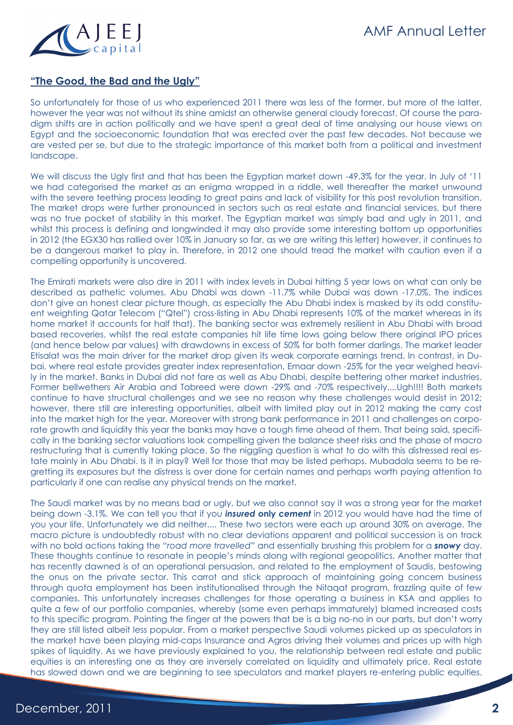

### **"The Good, the Bad and the Ugly"**

So unfortunately for those of us who experienced 2011 there was less of the former, but more of the latter, however the year was not without its shine amidst an otherwise general cloudy forecast. Of course the paradigm shifts are in action politically and we have spent a great deal of time analysing our house views on Egypt and the socioeconomic foundation that was erected over the past few decades. Not because we are vested per se, but due to the strategic importance of this market both from a political and investment landscape.

We will discuss the Ugly first and that has been the Egyptian market down -49.3% for the year. In July of '11 we had categorised the market as an enigma wrapped in a riddle, well thereafter the market unwound with the severe teething process leading to great pains and lack of visibility for this post revolution transition. The market drops were further pronounced in sectors such as real estate and financial services, but there was no true pocket of stability in this market. The Egyptian market was simply bad and ugly in 2011, and whilst this process is defining and longwinded it may also provide some interesting bottom up opportunities in 2012 (the EGX30 has rallied over 10% in January so far, as we are writing this letter) however, it continues to be a dangerous market to play in. Therefore, in 2012 one should tread the market with caution even if a compelling opportunity is uncovered.

The Emirati markets were also dire in 2011 with index levels in Dubai hitting 5 year lows on what can only be described as pathetic volumes. Abu Dhabi was down -11.7% while Dubai was down -17.0%. The indices don't give an honest clear picture though, as especially the Abu Dhabi index is masked by its odd constituent weighting Qatar Telecom ("Qtel") cross-listing in Abu Dhabi represents 10% of the market whereas in its home market it accounts for half that). The banking sector was extremely resilient in Abu Dhabi with broad based recoveries, whilst the real estate companies hit life time lows going below there original IPO prices (and hence below par values) with drawdowns in excess of 50% for both former darlings. The market leader Etisalat was the main driver for the market drop given its weak corporate earnings trend. In contrast, in Dubai, where real estate provides greater index representation, Emaar down -25% for the year weighed heavily in the market. Banks in Dubai did not fare as well as Abu Dhabi, despite bettering other market industries. Former bellwethers Air Arabia and Tabreed were down -29% and -70% respectively....Ugh!!!! Both markets continue to have structural challenges and we see no reason why these challenges would desist in 2012; however, there still are interesting opportunities, albeit with limited play out in 2012 making the carry cost into the market high for the year. Moreover with strong bank performance in 2011 and challenges on corporate growth and liquidity this year the banks may have a tough time ahead of them. That being said, specifically in the banking sector valuations look compelling given the balance sheet risks and the phase of macro restructuring that is currently taking place. So the niggling question is what to do with this distressed real estate mainly in Abu Dhabi. Is it in play? Well for those that may be listed perhaps. Mubadala seems to be regretting its exposures but the distress is over done for certain names and perhaps worth paying attention to particularly if one can realise any physical trends on the market.

The Saudi market was by no means bad or ugly, but we also cannot say it was a strong year for the market being down -3.1%. We can tell you that if you *insured* **only** *cement* in 2012 you would have had the time of you your life. Unfortunately we did neither.... These two sectors were each up around 30% on average. The macro picture is undoubtedly robust with no clear deviations apparent and political succession is on track with no bold actions taking the "*road more travelled"* and essentially brushing this problem for a *snowy* day. These thoughts continue to resonate in people's minds along with regional geopolitics. Another matter that has recently dawned is of an operational persuasion, and related to the employment of Saudis, bestowing the onus on the private sector. This carrot and stick approach of maintaining going concern business through quota employment has been institutionalised through the Nitaqat program, frazzling quite of few companies. This unfortunately increases challenges for those operating a business in KSA and applies to quite a few of our portfolio companies, whereby (some even perhaps immaturely) blamed increased costs to this specific program. Pointing the finger at the powers that be is a big no-no in our parts, but don't worry they are still listed albeit less popular. From a market perspective Saudi volumes picked up as speculators in the market have been playing mid-caps Insurance and Agros driving their volumes and prices up with high spikes of liquidity. As we have previously explained to you, the relationship between real estate and public equities is an interesting one as they are inversely correlated on liquidity and ultimately price. Real estate has slowed down and we are beginning to see speculators and market players re-entering public equities.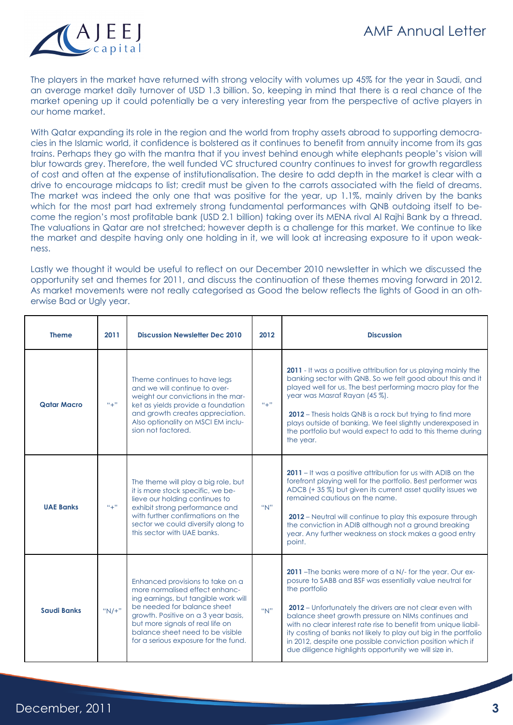

The players in the market have returned with strong velocity with volumes up 45% for the year in Saudi, and an average market daily turnover of USD 1.3 billion. So, keeping in mind that there is a real chance of the market opening up it could potentially be a very interesting year from the perspective of active players in our home market.

With Qatar expanding its role in the region and the world from trophy assets abroad to supporting democracies in the Islamic world, it confidence is bolstered as it continues to benefit from annuity income from its gas trains. Perhaps they go with the mantra that if you invest behind enough white elephants people's vision will blur towards grey. Therefore, the well funded VC structured country continues to invest for growth regardless of cost and often at the expense of institutionalisation. The desire to add depth in the market is clear with a drive to encourage midcaps to list; credit must be given to the carrots associated with the field of dreams. The market was indeed the only one that was positive for the year, up 1.1%, mainly driven by the banks which for the most part had extremely strong fundamental performances with QNB outdoing itself to become the region's most profitable bank (USD 2.1 billion) taking over its MENA rival Al Rajhi Bank by a thread. The valuations in Qatar are not stretched; however depth is a challenge for this market. We continue to like the market and despite having only one holding in it, we will look at increasing exposure to it upon weakness.

Lastly we thought it would be useful to reflect on our December 2010 newsletter in which we discussed the opportunity set and themes for 2011, and discuss the continuation of these themes moving forward in 2012. As market movements were not really categorised as Good the below reflects the lights of Good in an otherwise Bad or Ugly year.

| <b>Theme</b>       | 2011                    | <b>Discussion Newsletter Dec 2010</b>                                                                                                                                                                                                                                                            | 2012             | <b>Discussion</b>                                                                                                                                                                                                                                                                                                                                                                                                                                                                                                              |
|--------------------|-------------------------|--------------------------------------------------------------------------------------------------------------------------------------------------------------------------------------------------------------------------------------------------------------------------------------------------|------------------|--------------------------------------------------------------------------------------------------------------------------------------------------------------------------------------------------------------------------------------------------------------------------------------------------------------------------------------------------------------------------------------------------------------------------------------------------------------------------------------------------------------------------------|
| <b>Qatar Macro</b> | $^{\rm n}+^{\rm n}$     | Theme continues to have legs<br>and we will continue to over-<br>weight our convictions in the mar-<br>ket as yields provide a foundation<br>and growth creates appreciation.<br>Also optionality on MSCI EM inclu-<br>sion not factored.                                                        | $\alpha_{\pm} n$ | 2011 - It was a positive attribution for us playing mainly the<br>banking sector with QNB. So we felt good about this and it<br>played well for us. The best performing macro play for the<br>year was Masraf Rayan (45 %).<br>2012 - Thesis holds QNB is a rock but trying to find more<br>plays outside of banking. We feel slightly underexposed in<br>the portfolio but would expect to add to this theme during<br>the year.                                                                                              |
| <b>UAE Banks</b>   | $^{\rm n}\!+\!^{\rm n}$ | The theme will play a big role, but<br>it is more stock specific, we be-<br>lieve our holding continues to<br>exhibit strong performance and<br>with further confirmations on the<br>sector we could diversify along to<br>this sector with UAE banks.                                           | "N"              | 2011 – It was a positive attribution for us with ADIB on the<br>forefront playing well for the portfolio. Best performer was<br>ADCB (+35%) but given its current asset quality issues we<br>remained cautious on the name.<br>2012 – Neutral will continue to play this exposure through<br>the conviction in ADIB although not a ground breaking<br>year. Any further weakness on stock makes a good entry<br>point.                                                                                                         |
| <b>Saudi Banks</b> | $"N/+"$                 | Enhanced provisions to take on a<br>more normalised effect enhanc-<br>ing earnings, but tangible work will<br>be needed for balance sheet<br>growth. Positive on a 3 year basis,<br>but more signals of real life on<br>balance sheet need to be visible<br>for a serious exposure for the fund. | "N"              | <b>2011</b> – The banks were more of a N/- for the year. Our ex-<br>posure to SABB and BSF was essentially value neutral for<br>the portfolio<br>2012 - Unfortunately the drivers are not clear even with<br>balance sheet growth pressure on NIMs continues and<br>with no clear interest rate rise to benefit from unique liabil-<br>ity costing of banks not likely to play out big in the portfolio<br>in 2012, despite one possible conviction position which if<br>due diligence highlights opportunity we will size in. |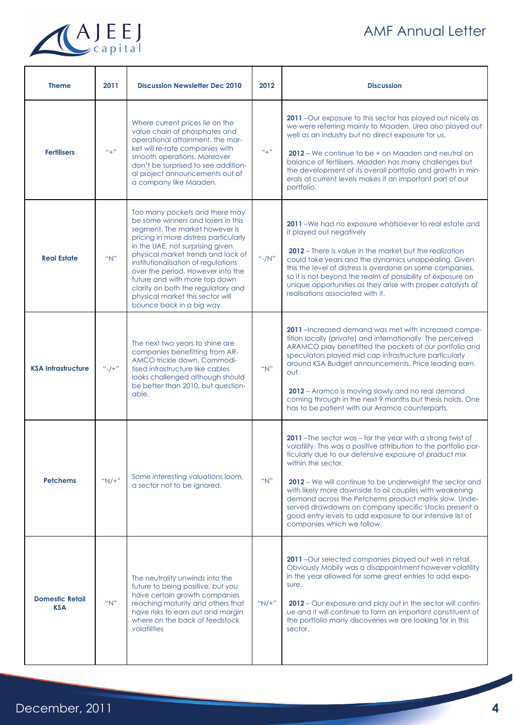

| <b>Theme</b>                         | 2011                  | <b>Discussion Newsletter Dec 2010</b>                                                                                                                                                                                                                                                                                                                                                                                                         | 2012     | <b>Discussion</b>                                                                                                                                                                                                                                                                                                                                                                                                                                                                                                                                     |
|--------------------------------------|-----------------------|-----------------------------------------------------------------------------------------------------------------------------------------------------------------------------------------------------------------------------------------------------------------------------------------------------------------------------------------------------------------------------------------------------------------------------------------------|----------|-------------------------------------------------------------------------------------------------------------------------------------------------------------------------------------------------------------------------------------------------------------------------------------------------------------------------------------------------------------------------------------------------------------------------------------------------------------------------------------------------------------------------------------------------------|
| <b>Fertilisers</b>                   | $\alpha_{\pm} \alpha$ | Where current prices lie on the<br>value chain of phosphates and<br>operational attainment, the mar-<br>ket will re-rate companies with<br>smooth operations. Moreover<br>don't be surprised to see addition-<br>al project announcements out of<br>a company like Maaden.                                                                                                                                                                    | $n + n$  | 2011 - Our exposure to this sector has played out nicely as<br>we were referring mainly to Maaden. Urea also played out<br>well as an industry but no direct exposure for us.<br>2012 – We continue to be + on Maaden and neutral on<br>balance of fertilisers. Maaden has many challenges but<br>the development of its overall portfolio and growth in min-<br>erals at current levels makes it an important part of our<br>portfolio.                                                                                                              |
| <b>Real Estate</b>                   | "N"                   | Too many pockets and there may<br>be some winners and losers in this<br>segment. The market however is<br>pricing in more distress particularly<br>in the UAE, not surprising given<br>physical market trends and lack of<br>institutionalisation of regulations<br>over the period. However into the<br>future and with more top down<br>clarity on both the regulatory and<br>physical market this sector will<br>bounce back in a big way. | $"$ -/N" | 2011 - We had no exposure whatsoever to real estate and<br>it played out negatively<br><b>2012</b> – There is value in the market but the realization<br>could take years and the dynamics unappealing. Given<br>this the level of distress is overdone on some companies,<br>so it is not beyond the realm of possibility of exposure on<br>unique opportunities as they arise with proper catalysts of<br>realisations associated with it.                                                                                                          |
| <b>KSA Infrastructure</b>            | $n - 1 + n$           | The next two years to shine are<br>companies benefitting from AR-<br>AMCO trickle down. Commodi-<br>tised infrastructure like cables<br>looks challenged although should<br>be better than 2010, but question-<br>able.                                                                                                                                                                                                                       | "N"      | 2011 - Increased demand was met with increased compe-<br>tition locally (private) and internationally. The perceived<br>ARAMCO play benefitted the pockets of our portfolio and<br>speculators played mid cap infrastructure particularly<br>around KSA Budget announcements. Price leading earn<br>out<br>2012 - Aramco is moving slowly and no real demand<br>coming through in the next 9 months but thesis holds. One<br>has to be patient with our Aramco counterparts.                                                                          |
| <b>Petchems</b>                      | $"N/+"$               | Some interesting valuations loom,<br>a sector not to be ignored.                                                                                                                                                                                                                                                                                                                                                                              | "N"      | 2011 - The sector was - for the year with a strong twist of<br>volatility. This was a positive attribution to the portfolio par-<br>ticularly due to our defensive exposure of product mix<br>within the sector.<br>2012 – We will continue to be underweight the sector and<br>with likely more downside to oil couples with weakening<br>demand across the Petchems product matrix slow. Unde-<br>served drawdowns on company specific stocks present a<br>good entry levels to add exposure to our intensive list of<br>companies which we follow. |
| <b>Domestic Retail</b><br><b>KSA</b> | "N"                   | The neutrality unwinds into the<br>future to being positive, but you<br>have certain growth companies<br>reaching maturity and others that<br>have risks to earn out and margin<br>where on the back of feedstock<br>volatilities                                                                                                                                                                                                             | $"N/+"$  | 2011 - Our selected companies played out well in retail.<br>Obviously Mobily was a disappointment however volatility<br>in the year allowed for some great entries to add expo-<br>sure.<br>2012 - Our exposure and play out in the sector will contin-<br>ue and it will continue to form an important constituent of<br>the portfolio many discoveries we are looking for in this<br>sector.                                                                                                                                                        |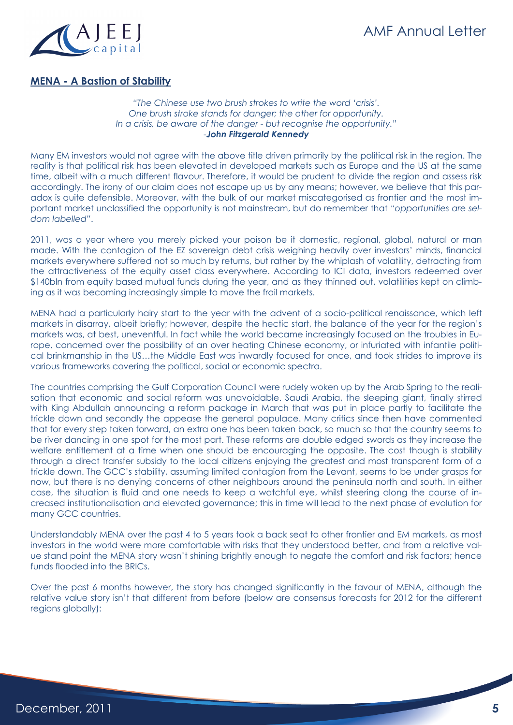

## **MENA - A Bastion of Stability**

#### *"The Chinese use two brush strokes to write the word 'crisis'. One brush stroke stands for danger; the other for opportunity. In a crisis, be aware of the danger - but recognise the opportunity." -John Fitzgerald Kennedy*

Many EM investors would not agree with the above title driven primarily by the political risk in the region. The reality is that political risk has been elevated in developed markets such as Europe and the US at the same time, albeit with a much different flavour. Therefore, it would be prudent to divide the region and assess risk accordingly. The irony of our claim does not escape up us by any means; however, we believe that this paradox is quite defensible. Moreover, with the bulk of our market miscategorised as frontier and the most important market unclassified the opportunity is not mainstream, but do remember that *"opportunities are seldom labelled"*.

2011, was a year where you merely picked your poison be it domestic, regional, global, natural or man made. With the contagion of the EZ sovereign debt crisis weighing heavily over investors' minds, financial markets everywhere suffered not so much by returns, but rather by the whiplash of volatility, detracting from the attractiveness of the equity asset class everywhere. According to ICI data, investors redeemed over \$140bln from equity based mutual funds during the year, and as they thinned out, volatilities kept on climbing as it was becoming increasingly simple to move the frail markets.

MENA had a particularly hairy start to the year with the advent of a socio-political renaissance, which left markets in disarray, albeit briefly; however, despite the hectic start, the balance of the year for the region's markets was, at best, uneventful. In fact while the world became increasingly focused on the troubles in Europe, concerned over the possibility of an over heating Chinese economy, or infuriated with infantile political brinkmanship in the US…the Middle East was inwardly focused for once, and took strides to improve its various frameworks covering the political, social or economic spectra.

The countries comprising the Gulf Corporation Council were rudely woken up by the Arab Spring to the realisation that economic and social reform was unavoidable. Saudi Arabia, the sleeping giant, finally stirred with King Abdullah announcing a reform package in March that was put in place partly to facilitate the trickle down and secondly the appease the general populace. Many critics since then have commented that for every step taken forward, an extra one has been taken back, so much so that the country seems to be river dancing in one spot for the most part. These reforms are double edged swords as they increase the welfare entitlement at a time when one should be encouraging the opposite. The cost though is stability through a direct transfer subsidy to the local citizens enjoying the greatest and most transparent form of a trickle down. The GCC's stability, assuming limited contagion from the Levant, seems to be under grasps for now, but there is no denying concerns of other neighbours around the peninsula north and south. In either case, the situation is fluid and one needs to keep a watchful eye, whilst steering along the course of increased institutionalisation and elevated governance; this in time will lead to the next phase of evolution for many GCC countries.

Understandably MENA over the past 4 to 5 years took a back seat to other frontier and EM markets, as most investors in the world were more comfortable with risks that they understood better, and from a relative value stand point the MENA story wasn't shining brightly enough to negate the comfort and risk factors; hence funds flooded into the BRICs.

Over the past 6 months however, the story has changed significantly in the favour of MENA, although the relative value story isn't that different from before (below are consensus forecasts for 2012 for the different regions globally):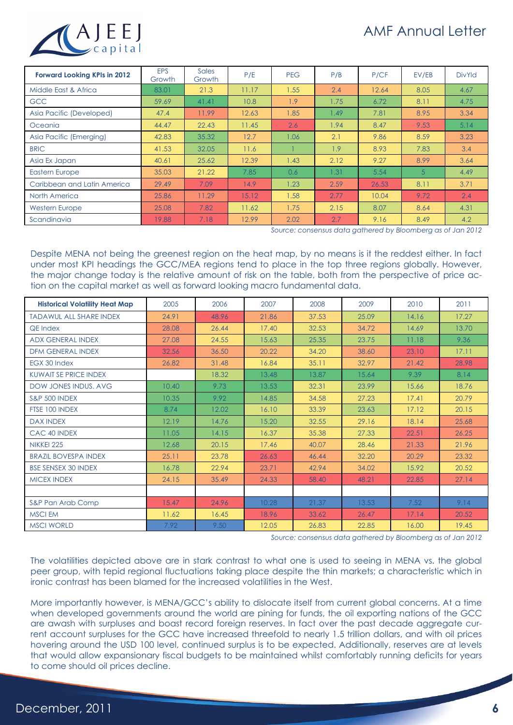

| <b>Forward Looking KPIs in 2012</b> | <b>EPS</b><br>Growth | Sales<br>Growth | P/E   | <b>PEG</b> | P/B  | P/CF  | EV/EB | <b>DivYld</b> |
|-------------------------------------|----------------------|-----------------|-------|------------|------|-------|-------|---------------|
| Middle East & Africa                | 83.01                | 21.3            | 11.17 | 1.55       | 2.4  | 12.64 | 8.05  | 4.67          |
| <b>GCC</b>                          | 59.69                | 41.41           | 10.8  | 1.9        | 1.75 | 6.72  | 8.11  | 4.75          |
| Asia Pacific (Developed)            | 47.4                 | 11.99           | 12.63 | 1.85       | 1.49 | 7.81  | 8.95  | 3.34          |
| Oceania                             | 44.47                | 22.43           | 11.45 | 2.6        | 1.94 | 8.47  | 9.53  | 5.14          |
| Asia Pacific (Emerging)             | 42.83                | 35.32           | 12.7  | 1.06       | 2.1  | 9.86  | 8.59  | 3.23          |
| <b>BRIC</b>                         | 41.53                | 32.05           | 11.6  |            | 1.9  | 8.93  | 7.83  | 3.4           |
| Asia Ex Japan                       | 40.61                | 25.62           | 12.39 | 1.43       | 2.12 | 9.27  | 8.99  | 3.64          |
| <b>Eastern Europe</b>               | 35.03                | 21.22           | 7.85  | 0.6        | 1.31 | 5.54  | 5     | 4.49          |
| Caribbean and Latin America         | 29.49                | 7.09            | 14.9  | 1.23       | 2.59 | 26.53 | 8.11  | 3.71          |
| North America                       | 25.86                | 11.29           | 15.12 | 1.58       | 2.77 | 10.04 | 9.72  | 2.4           |
| <b>Western Europe</b>               | 25.08                | 7.82            | 11.62 | 1.75       | 2.15 | 8.07  | 8.64  | 4.31          |
| Scandinavia                         | 19.88                | 7.18            | 12.99 | 2.02       | 2.7  | 9.16  | 8.49  | 4.2           |

*Source: consensus data gathered by Bloomberg as of Jan 2012*

Despite MENA not being the greenest region on the heat map, by no means is it the reddest either. In fact under most KPI headings the GCC/MEA regions tend to place in the top three regions globally. However, the major change today is the relative amount of risk on the table, both from the perspective of price action on the capital market as well as forward looking macro fundamental data.

| <b>Historical Volatility Heat Map</b> | 2005  | 2006  | 2007  | 2008  | 2009  | 2010  | 2011  |
|---------------------------------------|-------|-------|-------|-------|-------|-------|-------|
| <b>TADAWUL ALL SHARE INDEX</b>        | 24.91 | 48.96 | 21.86 | 37.53 | 25.09 | 14.16 | 17.27 |
| <b>QE</b> Index                       | 28.08 | 26.44 | 17.40 | 32.53 | 34.72 | 14.69 | 13.70 |
| <b>ADX GENERAL INDEX</b>              | 27.08 | 24.55 | 15.63 | 25.35 | 23.75 | 11.18 | 9.36  |
| <b>DFM GENERAL INDEX</b>              | 32.56 | 36.50 | 20.22 | 34.20 | 38.60 | 23.10 | 17.11 |
| EGX 30 Index                          | 26.82 | 31.48 | 16.84 | 35.11 | 32.97 | 21.42 | 28.98 |
| KUWAIT SE PRICE INDEX                 |       | 18.32 | 13.48 | 13.87 | 15.64 | 9.39  | 8.14  |
| DOW JONES INDUS. AVG                  | 10.40 | 9.73  | 13.53 | 32.31 | 23.99 | 15.66 | 18.76 |
| <b>S&amp;P 500 INDEX</b>              | 10.35 | 9.92  | 14.85 | 34.58 | 27.23 | 17.41 | 20.79 |
| FTSE 100 INDEX                        | 8.74  | 12.02 | 16.10 | 33.39 | 23.63 | 17.12 | 20.15 |
| <b>DAX INDEX</b>                      | 12.19 | 14.76 | 15.20 | 32.55 | 29.16 | 18.14 | 25.68 |
| CAC 40 INDEX                          | 11.05 | 14.15 | 16.37 | 35.38 | 27.33 | 22.51 | 26.25 |
| <b>NIKKEI 225</b>                     | 12.68 | 20.15 | 17.46 | 40.07 | 28.46 | 21.33 | 21.96 |
| <b>BRAZIL BOVESPA INDEX</b>           | 25.11 | 23.78 | 26.63 | 46.44 | 32.20 | 20.29 | 23.32 |
| <b>BSE SENSEX 30 INDEX</b>            | 16.78 | 22.94 | 23.71 | 42.94 | 34.02 | 15.92 | 20.52 |
| <b>MICEX INDEX</b>                    | 24.15 | 35.49 | 24.33 | 58.40 | 48.21 | 22.85 | 27.14 |
|                                       |       |       |       |       |       |       |       |
| S&P Pan Arab Comp                     | 15.47 | 24.96 | 10.28 | 21.37 | 13.53 | 7.52  | 9.14  |
| <b>MSCI EM</b>                        | 11.62 | 16.45 | 18.96 | 33.62 | 26.47 | 17.14 | 20.52 |
| <b>MSCI WORLD</b>                     | 7.92  | 9.50  | 12.05 | 26.83 | 22.85 | 16.00 | 19.45 |

*Source: consensus data gathered by Bloomberg as of Jan 2012*

The volatilities depicted above are in stark contrast to what one is used to seeing in MENA vs. the global peer group, with tepid regional fluctuations taking place despite the thin markets; a characteristic which in ironic contrast has been blamed for the increased volatilities in the West.

More importantly however, is MENA/GCC's ability to dislocate itself from current global concerns. At a time when developed governments around the world are pining for funds, the oil exporting nations of the GCC are awash with surpluses and boast record foreign reserves. In fact over the past decade aggregate current account surpluses for the GCC have increased threefold to nearly 1.5 trillion dollars, and with oil prices hovering around the USD 100 level, continued surplus is to be expected. Additionally, reserves are at levels that would allow expansionary fiscal budgets to be maintained whilst comfortably running deficits for years to come should oil prices decline.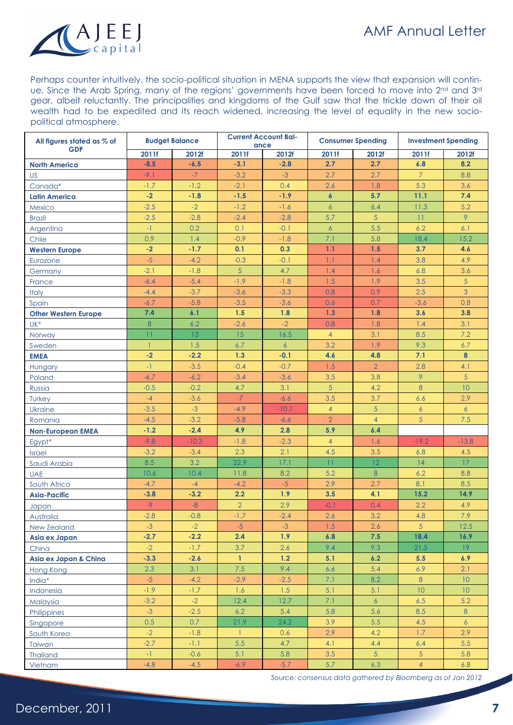

Perhaps counter intuitively, the socio-political situation in MENA supports the view that expansion will continue. Since the Arab Spring, many of the regions' governments have been forced to move into 2<sup>nd</sup> and 3<sup>rd</sup> gear, albeit reluctantly. The principalities and kingdoms of the Gulf saw that the trickle down of their oil wealth had to be expedited and its reach widened, increasing the level of equality in the new sociopolitical atmosphere.

| All figures stated as % of  | <b>Budget Balance</b> |         | <b>Current Account Bal-</b><br>ance |                | <b>Consumer Spending</b> |                | <b>Investment Spending</b> |                 |
|-----------------------------|-----------------------|---------|-------------------------------------|----------------|--------------------------|----------------|----------------------------|-----------------|
| <b>GDP</b>                  | 2011f                 | 2012f   | 2011f                               | 2012f          | 2011f                    | 2012f          | 2011f                      | 2012f           |
| <b>North America</b>        | $-8.5$                | $-6.5$  | $-3.1$                              | $-2.8$         | 2.7                      | 2.7            | 6.8                        | 8.2             |
| <b>US</b>                   | $-9.1$                | $-7$    | $-3.2$                              | $-3$           | 2.7                      | 2.7            | 7 <sup>1</sup>             | 8.8             |
| Canada*                     | $-1.7$                | $-1.2$  | $-2.1$                              | 0.4            | 2.6                      | 1.8            | 5.3                        | 3.6             |
| <b>Latin America</b>        | $-2$                  | $-1.8$  | $-1.5$                              | $-1.9$         | $\boldsymbol{6}$         | 5.7            | 11.1                       | 7.4             |
| Mexico                      | $-2.5$                | $-2$    | $-1.2$                              | $-1.6$         | $\boldsymbol{6}$         | 6.4            | 11.3                       | 5.2             |
| <b>Brazil</b>               | $-2.5$                | $-2.8$  | $-2.4$                              | $-2.8$         | 5.7                      | 5              | 11                         | 9               |
| Argentina                   | $-1$                  | 0.2     | 0.1                                 | $-0.1$         | $\overline{6}$           | 5.5            | 6.2                        | 6.1             |
| Chile                       | 0.9                   | 1.4     | $-0.9$                              | $-1.8$         | 7.1                      | 5.8            | 18.4                       | 15.2            |
| <b>Western Europe</b>       | $-2$                  | $-1.7$  | 0.1                                 | 0.3            | 1.1                      | 1.5            | 3.7                        | 4.6             |
| Eurozone                    | $-5$                  | $-4.2$  | $-0.3$                              | $-0.1$         | 1.1                      | 1.4            | 3.8                        | 4.9             |
| Germany                     | $-2.1$                | $-1.8$  | $\overline{5}$                      | 4.7            | 1.4                      | 1.6            | 6.8                        | 3.6             |
| France                      | $-6.4$                | $-5.4$  | $-1.9$                              | $-1.8$         | 1.5                      | 1.9            | 3.5                        | 5 <sup>5</sup>  |
| <b>Italy</b>                | $-4.4$                | $-3.7$  | $-3.6$                              | $-3.3$         | 0.8                      | 0.9            | 2.5                        | 3               |
| Spain                       | $-6.7$                | $-5.8$  | $-3.5$                              | $-3.6$         | 0.6                      | 0.7            | $-3.6$                     | 0.8             |
| <b>Other Western Europe</b> | 7.4                   | 6.1     | 1.5                                 | 1.8            | 1.3                      | 1.8            | 3.6                        | 3.8             |
| $UK^*$                      | 8                     | 6.2     | $-2.6$                              | $-2$           | 0.8                      | 1.8            | 1.4                        | 3.1             |
| Norway                      | $\overline{11}$       | 13      | 15                                  | 16.5           | $\overline{4}$           | 3.1            | 8.5                        | 7.2             |
| Sweden                      | 1                     | 1.5     | 6.7                                 | $\overline{6}$ | 3.2                      | 1.9            | 9.3                        | 6.7             |
| <b>EMEA</b>                 | $-2$                  | $-2.2$  | 1.3                                 | $-0.1$         | 4.6                      | 4.8            | 7.1                        | 8               |
| Hungary                     | $-1$                  | $-3.5$  | $-0.4$                              | $-0.7$         | 1.5                      | $\overline{2}$ | 2.8                        | 4.1             |
| Poland                      | $-6.7$                | $-6.2$  | $-3.4$                              | $-3.6$         | 3.5                      | 3.8            | 9                          | 5 <sup>5</sup>  |
| Russia                      | $-0.5$                | $-0.2$  | 4.7                                 | 3.1            | 5                        | 4.2            | 8                          | 10 <sup>°</sup> |
| Turkey                      | $-4$                  | $-3.6$  | $-7$                                | $-6.6$         | 3.5                      | 3.7            | 6.6                        | 2.9             |
| Ukraine                     | $-3.5$                | $-3$    | $-4.9$                              | $-10.1$        | $\overline{4}$           | $\sqrt{5}$     | $\overline{6}$             | $\overline{6}$  |
| Romania                     | $-4.5$                | $-3.2$  | $-5.8$                              | $-6.6$         | $\overline{2}$           | $\overline{4}$ | 5                          | 7.5             |
| <b>Non-European EMEA</b>    | $-1.2$                | $-2.4$  | 4.9                                 | 2.8            | 5.9                      | 6.4            |                            |                 |
| Egypt*                      | $-9.8$                | $-10.3$ | $-1.8$                              | $-2.3$         | $\overline{4}$           | 1.6            | $-19.2$                    | $-13.8$         |
| <b>Israel</b>               | $-3.2$                | $-3.4$  | 2.3                                 | 2.1            | 4.5                      | 3.5            | 6.8                        | 4.5             |
| Saudi Arabia                | 8.5                   | 3.2     | 22.9                                | 17.1           | $\overline{11}$          | 12             | 14                         | 17 <sup>2</sup> |
| <b>UAE</b>                  | 10.6                  | 10.4    | 11.8                                | 8.2            | 5.2                      | 8              | 6.2                        | 8.8             |
| South Africa                | $-4.7$                | $-4$    | $-4.2$                              | $-5$           | 2.9                      | 2.7            | 8.1                        | 8.5             |
| <b>Asia-Pacific</b>         | $-3.8$                | $-3.2$  | 2.2                                 | 1.9            | 3.5                      | 4.1            | 15.2                       | 14.9            |
| Japan                       | $-9$                  | $-8-$   | $\overline{2}$                      | 2.9            | $-0.1$                   | 0.4            | 2.2                        | 4.9             |
| Australia                   | $-2.8$                | $-0.8$  | $-1.7$                              | $-2.4$         | 2.6                      | 3.2            | 4.8                        | 7.9             |
| New Zealand                 | $-3$                  | $-2$    | $-5$                                | $-3$           | 1.5                      | 2.6            | $5\phantom{.}$             | 12.5            |
| Asia ex Japan               | $-2.7$                | $-2.2$  | 2.4                                 | 1.9            | 6.8                      | 7.5            | 18.4                       | 16.9            |
| China                       | $-2$                  | $-1.7$  | 3.7                                 | 2.6            | 9.4                      | 9.3            | 21.5                       | 19 <sup>°</sup> |
| Asia ex Japan & China       | $-3.3$                | $-2.6$  | $\mathbf{1}$                        | 1.2            | 5.1                      | 6.2            | 5.5                        | 6.9             |
| Hong Kong                   | 2.3                   | 3.1     | $7.5\,$                             | 9.4            | 6.6                      | 5.4            | 6.9                        | 2.1             |
| India*                      | $-5$                  | $-4.2$  | $-2.9$                              | $-2.5$         | 7.1                      | 8.2            | 8 <sup>°</sup>             | 10 <sup>°</sup> |
| Indonesia                   | $-1.9$                | $-1.7$  | 1.6                                 | 1.5            | 5.1                      | 5.1            | 10 <sup>°</sup>            | 10 <sup>°</sup> |
| Malaysia                    | $-3.2$                | $-2$    | 12.4                                | 12.7           | 7.1                      | 6 <sup>1</sup> | 6.5                        | 5.2             |
| Philippines                 | $-3$                  | $-2.5$  | 6.2                                 | 5.4            | 5.8                      | 5.6            | 8.5                        | 8               |
| Singapore                   | 0.5                   | 0.7     | 21.9                                | 24.2           | 3.9                      | 5.5            | 4.5                        | 6 <sup>1</sup>  |
| South Korea                 | $-2$                  | $-1.8$  | $\mathbf{1}$                        | 0.6            | 2.9                      | 4.2            | 1.7                        | 2.9             |
| Taiwan                      | $-2.7$                | $-1.1$  | 5.5                                 | 4.7            | 4.1                      | 4.4            | 6.4                        | 5.5             |
| <b>Thailand</b>             | $\mathbf{-}1$         | $-0.6$  | 5.1                                 | 5.8            | 3.5                      | 5 <sup>1</sup> | 5 <sup>1</sup>             | 5.8             |
| Vietnam                     | $-4.8$                | $-4.5$  | $-6.9$                              | $-5.7$         | 5.7                      | 6.3            | $\overline{4}$             | 6.8             |

*Source: consensus data gathered by Bloomberg as of Jan 2012*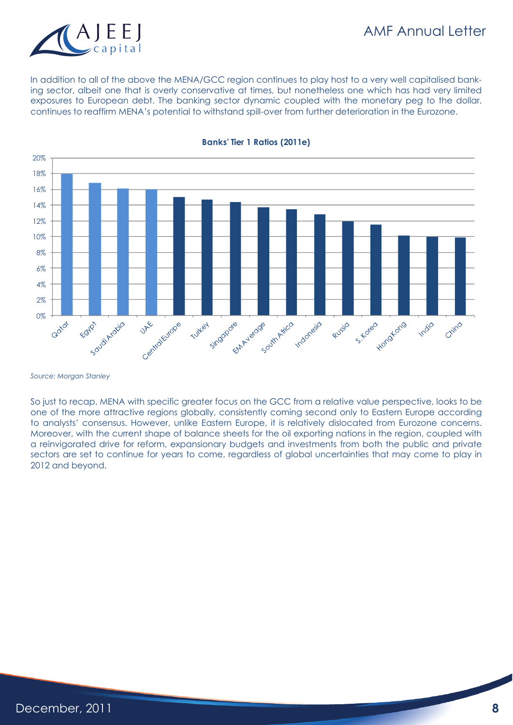



In addition to all of the above the MENA/GCC region continues to play host to a very well capitalised banking sector, albeit one that is overly conservative at times, but nonetheless one which has had very limited exposures to European debt. The banking sector dynamic coupled with the monetary peg to the dollar, continues to reaffirm MENA's potential to withstand spill-over from further deterioration in the Eurozone.



#### **Banks' Tier 1 Ratios (2011e)**

So just to recap, MENA with specific greater focus on the GCC from a relative value perspective, looks to be one of the more attractive regions globally, consistently coming second only to Eastern Europe according to analysts' consensus. However, unlike Eastern Europe, it is relatively dislocated from Eurozone concerns. Moreover, with the current shape of balance sheets for the oil exporting nations in the region, coupled with a reinvigorated drive for reform, expansionary budgets and investments from both the public and private sectors are set to continue for years to come, regardless of global uncertainties that may come to play in 2012 and beyond.

*Source: Morgan Stanley*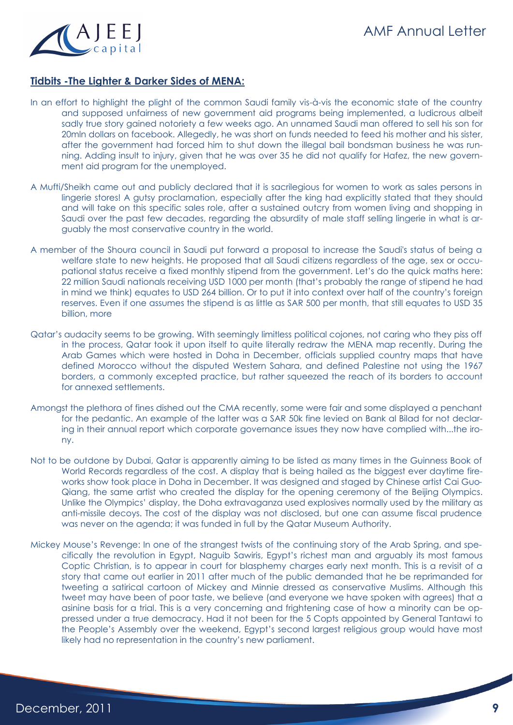

### **Tidbits -The Lighter & Darker Sides of MENA:**

- In an effort to highlight the plight of the common Saudi family vis-à-vis the economic state of the country and supposed unfairness of new government aid programs being implemented, a ludicrous albeit sadly true story gained notoriety a few weeks ago. An unnamed Saudi man offered to sell his son for 20mln dollars on facebook. Allegedly, he was short on funds needed to feed his mother and his sister, after the government had forced him to shut down the illegal bail bondsman business he was running. Adding insult to injury, given that he was over 35 he did not qualify for Hafez, the new government aid program for the unemployed.
- A Mufti/Sheikh came out and publicly declared that it is sacrilegious for women to work as sales persons in lingerie stores! A gutsy proclamation, especially after the king had explicitly stated that they should and will take on this specific sales role, after a sustained outcry from women living and shopping in Saudi over the past few decades, regarding the absurdity of male staff selling lingerie in what is arguably the most conservative country in the world.
- A member of the Shoura council in Saudi put forward a proposal to increase the Saudi's status of being a welfare state to new heights. He proposed that all Saudi citizens regardless of the age, sex or occupational status receive a fixed monthly stipend from the government. Let's do the quick maths here: 22 million Saudi nationals receiving USD 1000 per month (that's probably the range of stipend he had in mind we think) equates to USD 264 billion. Or to put it into context over half of the country's foreign reserves. Even if one assumes the stipend is as little as SAR 500 per month, that still equates to USD 35 billion, more
- Qatar's audacity seems to be growing. With seemingly limitless political cojones, not caring who they piss off in the process, Qatar took it upon itself to quite literally redraw the MENA map recently. During the Arab Games which were hosted in Doha in December, officials supplied country maps that have defined Morocco without the disputed Western Sahara, and defined Palestine not using the 1967 borders, a commonly excepted practice, but rather squeezed the reach of its borders to account for annexed settlements.
- Amongst the plethora of fines dished out the CMA recently, some were fair and some displayed a penchant for the pedantic. An example of the latter was a SAR 50k fine levied on Bank al Bilad for not declaring in their annual report which corporate governance issues they now have complied with...the irony.
- Not to be outdone by Dubai, Qatar is apparently aiming to be listed as many times in the Guinness Book of World Records regardless of the cost. A display that is being hailed as the biggest ever daytime fireworks show took place in Doha in December. It was designed and staged by Chinese artist Cai Guo-Qiang, the same artist who created the display for the opening ceremony of the Beijing Olympics. Unlike the Olympics' display, the Doha extravaganza used explosives normally used by the military as anti-missile decoys. The cost of the display was not disclosed, but one can assume fiscal prudence was never on the agenda; it was funded in full by the Qatar Museum Authority.
- Mickey Mouse's Revenge: In one of the strangest twists of the continuing story of the Arab Spring, and specifically the revolution in Egypt, Naguib Sawiris, Egypt's richest man and arguably its most famous Coptic Christian, is to appear in court for blasphemy charges early next month. This is a revisit of a story that came out earlier in 2011 after much of the public demanded that he be reprimanded for tweeting a satirical cartoon of Mickey and Minnie dressed as conservative Muslims. Although this tweet may have been of poor taste, we believe (and everyone we have spoken with agrees) that a asinine basis for a trial. This is a very concerning and frightening case of how a minority can be oppressed under a true democracy. Had it not been for the 5 Copts appointed by General Tantawi to the People's Assembly over the weekend, Egypt's second largest religious group would have most likely had no representation in the country's new parliament.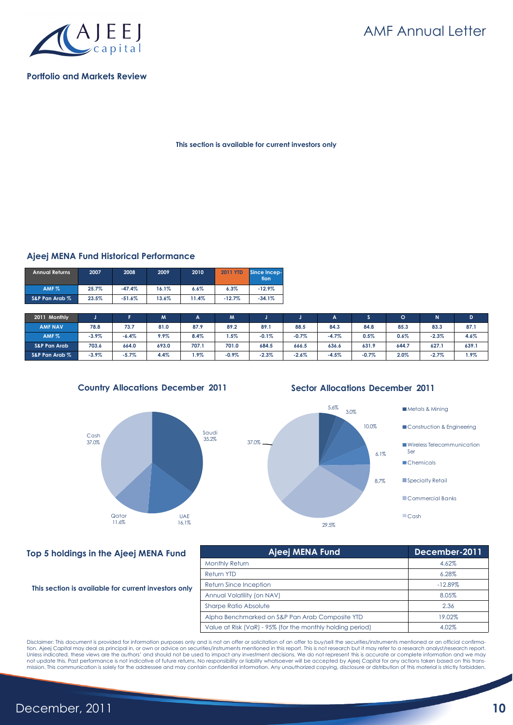

#### **Portfolio and Markets Review**

**This section is available for current investors only**

#### **Ajeej MENA Fund Historical Performance**

| Annual Returns | 2007  | 2008     | 2009  | 2010  | <b>2011 YTD</b> | Since Incep-<br>tion |
|----------------|-------|----------|-------|-------|-----------------|----------------------|
| AMF%           | 25.7% | $-47.4%$ | 16.1% | 6.6%  | 6.3%            | $-12.9%$             |
| S&P Pan Arab % | 23.5% | $-51.6%$ | 13.6% | 11.4% | $-12.7%$        | $-34.1%$             |

| 2011 Monthly            |          |         | M     |         | M       |         |         |         |         |       | N.      | D       |
|-------------------------|----------|---------|-------|---------|---------|---------|---------|---------|---------|-------|---------|---------|
| <b>AMF NAV</b>          | 78.8     | 73.7    | 81.0  | 87.9    | 89.2    | 89.1    | 88.5    | 84.3    | 84.8    | 85.3  | 83.3    | 87.1    |
| AMF <sub>%</sub>        | $-3.9\%$ | $-6.4%$ | 9.9%  | 8.4%    | 1.5%    | $-0.1%$ | $-0.7%$ | $-4.7%$ | 0.5%    | 0.6%  | $-2.3%$ | 4.6%    |
| <b>S&amp;P Pan Arab</b> | 703.6    | 664.0   | 693.0 | 707.1   | 701.0   | 684.5   | 666.5   | 636.6   | 631.9   | 644.7 | 627.1   | 639.1   |
| $S\&P$ Pan Arab $\%$    | $-3.9\%$ | $-5.7%$ | 4.4%  | $1.9\%$ | $-0.9%$ | $-2.3%$ | $-2.6%$ | $-4.5%$ | $-0.7%$ | 2.0%  | $-2.7%$ | $1.9\%$ |



**Country Allocations December 2011**

#### **Sector Allocations December 2011**



#### **Top 5 holdings in the Ajeej MENA Fund**

**This section is available for current investors only**

| Ajeej MENA Fund                                            | December-2011 |
|------------------------------------------------------------|---------------|
| <b>Monthly Return</b>                                      | 4.62%         |
| <b>Return YTD</b>                                          | 6.28%         |
| Return Since Inception                                     | $-12.89\%$    |
| Annual Volatility (on NAV)                                 | 8.05%         |
| Sharpe Ratio Absolute                                      | 2.36          |
| Alpha Benchmarked on S&P Pan Arab Composite YTD            | 19.02%        |
| Value at Risk (VaR) - 95% (for the monthly holding period) | 4.02%         |

Disclaimer: This document is provided for information purposes only and is not an offer or solicitation of an offer to buy/sell the securities/instruments mentioned or an official confirma-<br>tion. Ajeej Capital may deal as Unless indicated, these views are the authors' and should not be used to impact any investment decisions. We do not represent this is accurate or complete information and we may not update this. Past performance is not indicative of future returns. No responsibility or liability whatsoever will be accepted by Ajeej Capital for any actions taken based on this trans-<br>mission. This communication is s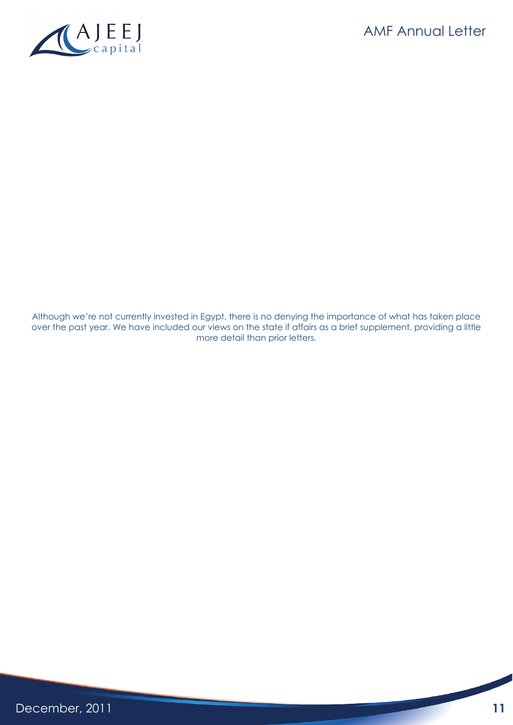

Although we're not currently invested in Egypt, there is no denying the importance of what has taken place over the past year. We have included our views on the state if affairs as a brief supplement, providing a little more detail than prior letters.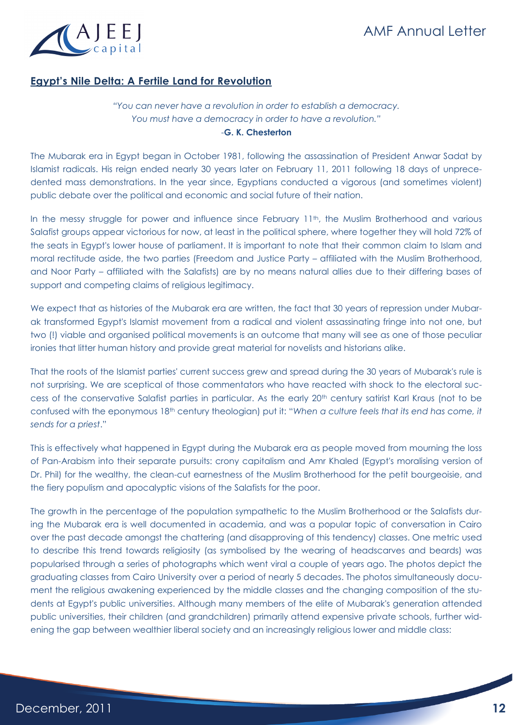

## **Egypt's Nile Delta: A Fertile Land for Revolution**

*"You can never have a revolution in order to establish a democracy. You must have a democracy in order to have a revolution."* -**G. K. Chesterton**

The Mubarak era in Egypt began in October 1981, following the assassination of President Anwar Sadat by Islamist radicals. His reign ended nearly 30 years later on February 11, 2011 following 18 days of unprecedented mass demonstrations. In the year since, Egyptians conducted a vigorous (and sometimes violent) public debate over the political and economic and social future of their nation.

In the messy struggle for power and influence since February 11<sup>th</sup>, the Muslim Brotherhood and various Salafist groups appear victorious for now, at least in the political sphere, where together they will hold 72% of the seats in Egypt's lower house of parliament. It is important to note that their common claim to Islam and moral rectitude aside, the two parties (Freedom and Justice Party – affiliated with the Muslim Brotherhood, and Noor Party – affiliated with the Salafists) are by no means natural allies due to their differing bases of support and competing claims of religious legitimacy.

We expect that as histories of the Mubarak era are written, the fact that 30 years of repression under Mubarak transformed Egypt's Islamist movement from a radical and violent assassinating fringe into not one, but two (!) viable and organised political movements is an outcome that many will see as one of those peculiar ironies that litter human history and provide great material for novelists and historians alike.

That the roots of the Islamist parties' current success grew and spread during the 30 years of Mubarak's rule is not surprising. We are sceptical of those commentators who have reacted with shock to the electoral success of the conservative Salafist parties in particular. As the early 20<sup>th</sup> century satirist Karl Kraus (not to be confused with the eponymous 18<sup>th</sup> century theologian) put it: "When a culture feels that its end has come, it *sends for a priest*."

This is effectively what happened in Egypt during the Mubarak era as people moved from mourning the loss of Pan-Arabism into their separate pursuits: crony capitalism and Amr Khaled (Egypt's moralising version of Dr. Phil) for the wealthy, the clean-cut earnestness of the Muslim Brotherhood for the petit bourgeoisie, and the fiery populism and apocalyptic visions of the Salafists for the poor.

The growth in the percentage of the population sympathetic to the Muslim Brotherhood or the Salafists during the Mubarak era is well documented in academia, and was a popular topic of conversation in Cairo over the past decade amongst the chattering (and disapproving of this tendency) classes. One metric used to describe this trend towards religiosity (as symbolised by the wearing of headscarves and beards) was popularised through a series of photographs which went viral a couple of years ago. The photos depict the graduating classes from Cairo University over a period of nearly 5 decades. The photos simultaneously document the religious awakening experienced by the middle classes and the changing composition of the students at Egypt's public universities. Although many members of the elite of Mubarak's generation attended public universities, their children (and grandchildren) primarily attend expensive private schools, further widening the gap between wealthier liberal society and an increasingly religious lower and middle class: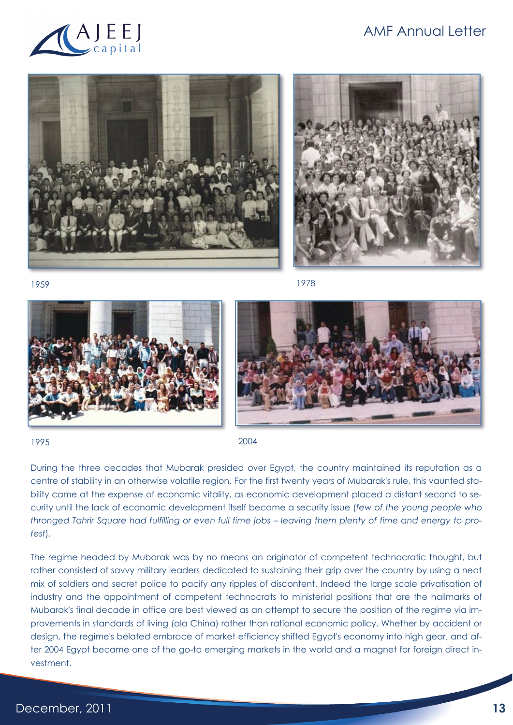





1959 1978



1995 2004

During the three decades that Mubarak presided over Egypt, the country maintained its reputation as a centre of stability in an otherwise volatile region. For the first twenty years of Mubarak's rule, this vaunted stability came at the expense of economic vitality, as economic development placed a distant second to security until the lack of economic development itself became a security issue (*few of the young people who thronged Tahrir Square had fulfilling or even full time jobs – leaving them plenty of time and energy to protest*).

The regime headed by Mubarak was by no means an originator of competent technocratic thought, but rather consisted of savvy military leaders dedicated to sustaining their grip over the country by using a neat mix of soldiers and secret police to pacify any ripples of discontent. Indeed the large scale privatisation of industry and the appointment of competent technocrats to ministerial positions that are the hallmarks of Mubarak's final decade in office are best viewed as an attempt to secure the position of the regime via improvements in standards of living (ala China) rather than rational economic policy. Whether by accident or design, the regime's belated embrace of market efficiency shifted Egypt's economy into high gear, and after 2004 Egypt became one of the go-to emerging markets in the world and a magnet for foreign direct investment.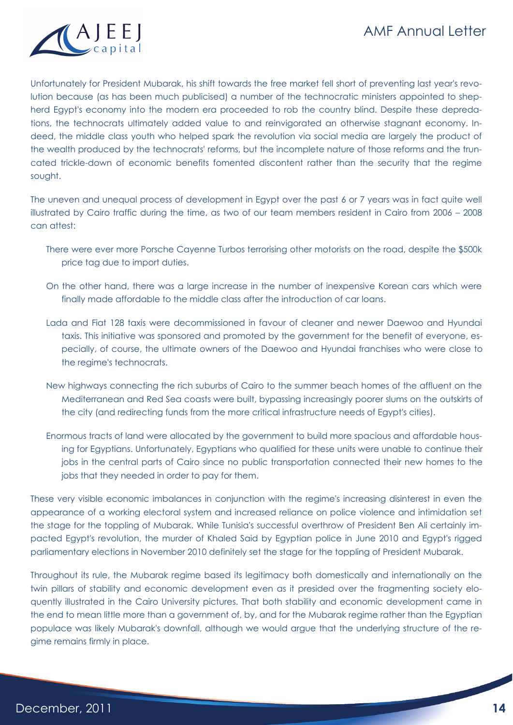

Unfortunately for President Mubarak, his shift towards the free market fell short of preventing last year's revolution because (as has been much publicised) a number of the technocratic ministers appointed to shepherd Egypt's economy into the modern era proceeded to rob the country blind. Despite these depredations, the technocrats ultimately added value to and reinvigorated an otherwise stagnant economy. Indeed, the middle class youth who helped spark the revolution via social media are largely the product of the wealth produced by the technocrats' reforms, but the incomplete nature of those reforms and the truncated trickle-down of economic benefits fomented discontent rather than the security that the regime sought.

The uneven and unequal process of development in Egypt over the past 6 or 7 years was in fact quite well illustrated by Cairo traffic during the time, as two of our team members resident in Cairo from 2006 – 2008 can attest:

- There were ever more Porsche Cayenne Turbos terrorising other motorists on the road, despite the \$500k price tag due to import duties.
- On the other hand, there was a large increase in the number of inexpensive Korean cars which were finally made affordable to the middle class after the introduction of car loans.
- Lada and Fiat 128 taxis were decommissioned in favour of cleaner and newer Daewoo and Hyundai taxis. This initiative was sponsored and promoted by the government for the benefit of everyone, especially, of course, the ultimate owners of the Daewoo and Hyundai franchises who were close to the regime's technocrats.
- New highways connecting the rich suburbs of Cairo to the summer beach homes of the affluent on the Mediterranean and Red Sea coasts were built, bypassing increasingly poorer slums on the outskirts of the city (and redirecting funds from the more critical infrastructure needs of Egypt's cities).
- Enormous tracts of land were allocated by the government to build more spacious and affordable housing for Egyptians. Unfortunately, Egyptians who qualified for these units were unable to continue their jobs in the central parts of Cairo since no public transportation connected their new homes to the jobs that they needed in order to pay for them.

These very visible economic imbalances in conjunction with the regime's increasing disinterest in even the appearance of a working electoral system and increased reliance on police violence and intimidation set the stage for the toppling of Mubarak. While Tunisia's successful overthrow of President Ben Ali certainly impacted Egypt's revolution, the murder of Khaled Said by Egyptian police in June 2010 and Egypt's rigged parliamentary elections in November 2010 definitely set the stage for the toppling of President Mubarak.

Throughout its rule, the Mubarak regime based its legitimacy both domestically and internationally on the twin pillars of stability and economic development even as it presided over the fragmenting society eloquently illustrated in the Cairo University pictures. That both stability and economic development came in the end to mean little more than a government of, by, and for the Mubarak regime rather than the Egyptian populace was likely Mubarak's downfall, although we would argue that the underlying structure of the regime remains firmly in place.